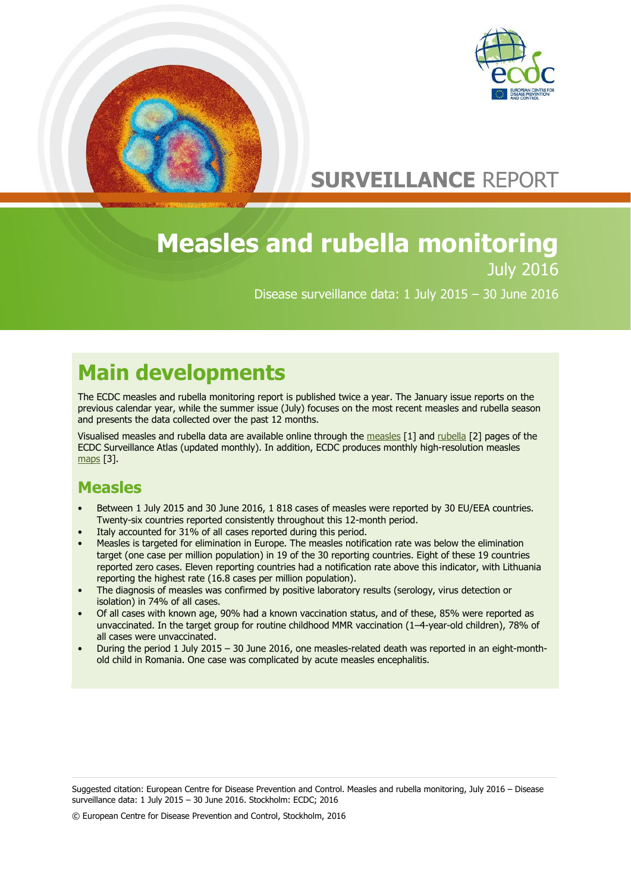



# **SURVEILLANCE** REPORT

## **Measles and rubella monitoring** July 2016

Disease surveillance data: 1 July 2015 – 30 June 2016

# **Main developments**

The ECDC measles and rubella monitoring report is published twice a year. The January issue reports on the previous calendar year, while the summer issue (July) focuses on the most recent measles and rubella season and presents the data collected over the past 12 months.

Visualised measles and rubella data are available online through the [measles](http://atlas.ecdc.europa.eu/public/index.aspx?Dataset=27&HealthTopic=35&GeoResolution=2&TimeResolution=Month&FixDataset=1&FixHealthTopic=0?Instance=MeaslesMonthlyAtlas) [1] and [rubella](http://atlas.ecdc.europa.eu/public/index.aspx?Dataset=27&HealthTopic=45&GeoResolution=2&TimeResolution=Month&FixDataset=1&FixHealthTopic=0&Instance=RubellaMonthlyAtlas) [2] pages of the ECDC Surveillance Atlas (updated monthly). In addition, ECDC produces monthly high-resolution measles [maps](http://ecdc.europa.eu/en/healthtopics/measles/epidemiological_data/Pages/measles_maps.aspx) [3].

## **Measles**

- Between 1 July 2015 and 30 June 2016, 1 818 cases of measles were reported by 30 EU/EEA countries. Twenty-six countries reported consistently throughout this 12-month period.
- Italy accounted for 31% of all cases reported during this period.
- Measles is targeted for elimination in Europe. The measles notification rate was below the elimination target (one case per million population) in 19 of the 30 reporting countries. Eight of these 19 countries reported zero cases. Eleven reporting countries had a notification rate above this indicator, with Lithuania reporting the highest rate (16.8 cases per million population).
- The diagnosis of measles was confirmed by positive laboratory results (serology, virus detection or isolation) in 74% of all cases.
- Of all cases with known age, 90% had a known vaccination status, and of these, 85% were reported as unvaccinated. In the target group for routine childhood MMR vaccination (1–4-year-old children), 78% of all cases were unvaccinated.
- During the period 1 July 2015 30 June 2016, one measles-related death was reported in an eight-monthold child in Romania. One case was complicated by acute measles encephalitis.

Suggested citation: European Centre for Disease Prevention and Control. Measles and rubella monitoring, July 2016 – Disease surveillance data: 1 July 2015 – 30 June 2016. Stockholm: ECDC; 2016

© European Centre for Disease Prevention and Control, Stockholm, 2016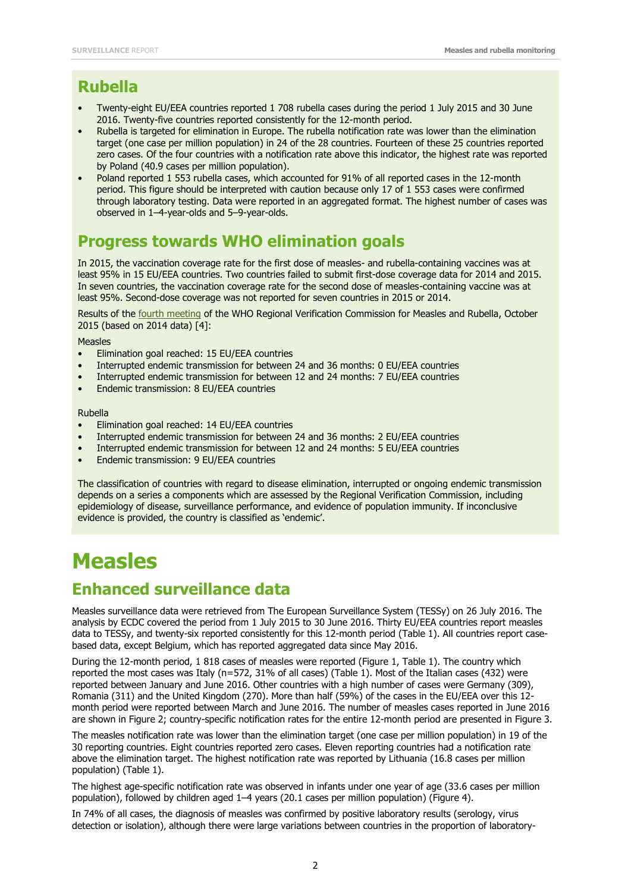### **Rubella**

- Twenty-eight EU/EEA countries reported 1 708 rubella cases during the period 1 July 2015 and 30 June 2016. Twenty-five countries reported consistently for the 12-month period.
- Rubella is targeted for elimination in Europe. The rubella notification rate was lower than the elimination target (one case per million population) in 24 of the 28 countries. Fourteen of these 25 countries reported zero cases. Of the four countries with a notification rate above this indicator, the highest rate was reported by Poland (40.9 cases per million population).
- Poland reported 1 553 rubella cases, which accounted for 91% of all reported cases in the 12-month period. This figure should be interpreted with caution because only 17 of 1 553 cases were confirmed through laboratory testing. Data were reported in an aggregated format. The highest number of cases was observed in 1–4-year-olds and 5–9-year-olds.

### **Progress towards WHO elimination goals**

In 2015, the vaccination coverage rate for the first dose of measles- and rubella-containing vaccines was at least 95% in 15 EU/EEA countries. Two countries failed to submit first-dose coverage data for 2014 and 2015. In seven countries, the vaccination coverage rate for the second dose of measles-containing vaccine was at least 95%. Second-dose coverage was not reported for seven countries in 2015 or 2014.

Results of the **fourth [meeting](http://www.euro.who.int/__data/assets/pdf_file/0011/304958/4th-RVC-meeting-report.pdf) of the WHO Regional Verification Commission for Measles and Rubella, October** 2015 (based on 2014 data) [4]:

Measles

- Elimination goal reached: 15 EU/EEA countries
- Interrupted endemic transmission for between 24 and 36 months: 0 EU/EEA countries
- Interrupted endemic transmission for between 12 and 24 months: 7 EU/EEA countries
- Endemic transmission: 8 EU/EEA countries

Rubella

- Elimination goal reached: 14 EU/EEA countries
- Interrupted endemic transmission for between 24 and 36 months: 2 EU/EEA countries
- Interrupted endemic transmission for between 12 and 24 months: 5 EU/EEA countries
- Endemic transmission: 9 EU/EEA countries

The classification of countries with regard to disease elimination, interrupted or ongoing endemic transmission depends on a series a components which are assessed by the Regional Verification Commission, including epidemiology of disease, surveillance performance, and evidence of population immunity. If inconclusive evidence is provided, the country is classified as 'endemic'.

# **Measles**

### **Enhanced surveillance data**

Measles surveillance data were retrieved from The European Surveillance System (TESSy) on 26 July 2016. The analysis by ECDC covered the period from 1 July 2015 to 30 June 2016. Thirty EU/EEA countries report measles data to TESSy, and twenty-six reported consistently for this 12-month period (Table 1). All countries report casebased data, except Belgium, which has reported aggregated data since May 2016.

During the 12-month period, 1 818 cases of measles were reported (Figure 1, Table 1). The country which reported the most cases was Italy (n=572, 31% of all cases) (Table 1). Most of the Italian cases (432) were reported between January and June 2016. Other countries with a high number of cases were Germany (309), Romania (311) and the United Kingdom (270). More than half (59%) of the cases in the EU/EEA over this 12 month period were reported between March and June 2016. The number of measles cases reported in June 2016 are shown in Figure 2; country-specific notification rates for the entire 12-month period are presented in Figure 3.

The measles notification rate was lower than the elimination target (one case per million population) in 19 of the 30 reporting countries. Eight countries reported zero cases. Eleven reporting countries had a notification rate above the elimination target. The highest notification rate was reported by Lithuania (16.8 cases per million population) (Table 1).

The highest age-specific notification rate was observed in infants under one year of age (33.6 cases per million population), followed by children aged 1–4 years (20.1 cases per million population) (Figure 4).

In 74% of all cases, the diagnosis of measles was confirmed by positive laboratory results (serology, virus detection or isolation), although there were large variations between countries in the proportion of laboratory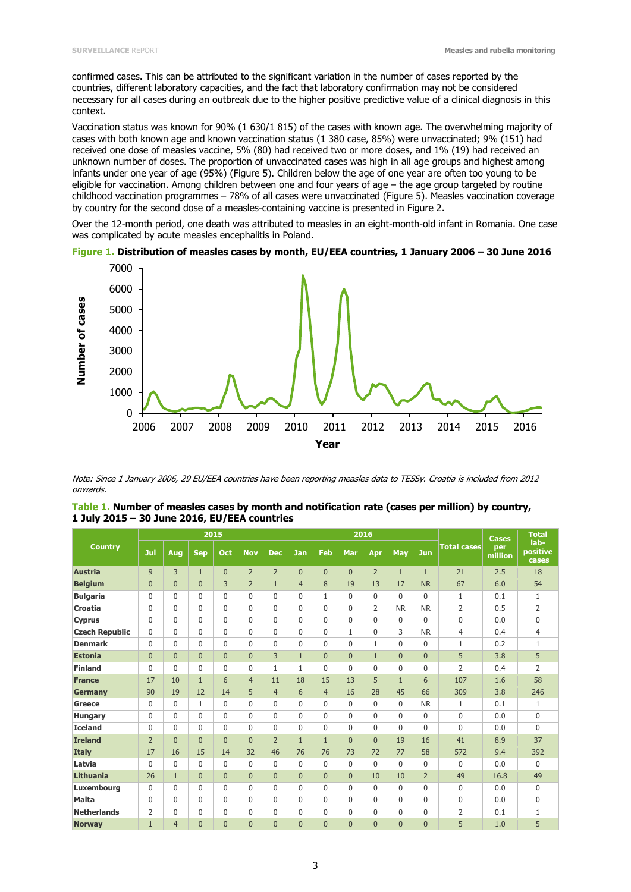confirmed cases. This can be attributed to the significant variation in the number of cases reported by the countries, different laboratory capacities, and the fact that laboratory confirmation may not be considered necessary for all cases during an outbreak due to the higher positive predictive value of a clinical diagnosis in this context.

Vaccination status was known for 90% (1 630/1 815) of the cases with known age. The overwhelming majority of cases with both known age and known vaccination status (1 380 case, 85%) were unvaccinated; 9% (151) had received one dose of measles vaccine, 5% (80) had received two or more doses, and 1% (19) had received an unknown number of doses. The proportion of unvaccinated cases was high in all age groups and highest among infants under one year of age (95%) (Figure 5). Children below the age of one year are often too young to be eligible for vaccination. Among children between one and four years of age – the age group targeted by routine childhood vaccination programmes – 78% of all cases were unvaccinated (Figure 5). Measles vaccination coverage by country for the second dose of a measles-containing vaccine is presented in Figure 2.

Over the 12-month period, one death was attributed to measles in an eight-month-old infant in Romania. One case was complicated by acute measles encephalitis in Poland.





Note: Since 1 January 2006, 29 EU/EEA countries have been reporting measles data to TESSy. Croatia is included from 2012 onwards.

| <b>Country</b>        |                |                | 2015           |          |                |                |                |                |                | 2016           |                | <b>Cases</b>   | <b>Total</b>       |                |                           |
|-----------------------|----------------|----------------|----------------|----------|----------------|----------------|----------------|----------------|----------------|----------------|----------------|----------------|--------------------|----------------|---------------------------|
|                       | Jul            | Aug            | <b>Sep</b>     | Oct      | <b>Nov</b>     | <b>Dec</b>     | <b>Jan</b>     | Feb            | Mar            | Apr            | May            | Jun            | <b>Total cases</b> | per<br>million | lab-<br>positive<br>cases |
| <b>Austria</b>        | 9              | 3              | $\mathbf{1}$   | $\Omega$ | $\overline{2}$ | $\overline{2}$ | $\overline{0}$ | $\Omega$       | $\Omega$       | $\overline{2}$ | $\mathbf{1}$   | $\mathbf{1}$   | 21                 | 2.5            | 18                        |
| <b>Belgium</b>        | $\overline{0}$ | $\overline{0}$ | $\overline{0}$ | 3        | $\overline{2}$ | $\mathbf{1}$   | $\overline{4}$ | 8              | 19             | 13             | 17             | <b>NR</b>      | 67                 | 6.0            | 54                        |
| <b>Bulgaria</b>       | 0              | $\mathbf{0}$   | $\mathbf{0}$   | $\Omega$ | $\Omega$       | $\Omega$       | 0              | $\mathbf{1}$   | $\Omega$       | $\Omega$       | $\Omega$       | $\Omega$       | $\mathbf{1}$       | 0.1            | $\mathbf{1}$              |
| <b>Croatia</b>        | 0              | $\mathbf{0}$   | $\mathbf{0}$   | $\Omega$ | $\Omega$       | $\Omega$       | 0              | $\Omega$       | $\Omega$       | $\overline{2}$ | <b>NR</b>      | <b>NR</b>      | $\overline{2}$     | 0.5            | $\overline{2}$            |
| <b>Cyprus</b>         | 0              | $\mathbf{0}$   | $\mathbf{0}$   | $\Omega$ | $\Omega$       | $\Omega$       | 0              | $\Omega$       | $\Omega$       | $\Omega$       | 0              | $\mathbf 0$    | $\mathbf 0$        | 0.0            | $\mathbf{0}$              |
| <b>Czech Republic</b> | $\mathbf 0$    | $\mathbf{0}$   | $\mathbf{0}$   | $\Omega$ | $\Omega$       | $\Omega$       | 0              | $\Omega$       | $\mathbf{1}$   | 0              | 3              | <b>NR</b>      | $\overline{4}$     | 0.4            | $\overline{4}$            |
| <b>Denmark</b>        | 0              | $\mathbf{0}$   | $\mathbf{0}$   | $\Omega$ | $\Omega$       | $\mathbf 0$    | 0              | $\Omega$       | $\mathbf{0}$   | $\mathbf{1}$   | $\mathbf 0$    | $\mathbf 0$    | $\mathbf{1}$       | 0.2            | $\mathbf{1}$              |
| <b>Estonia</b>        | $\overline{0}$ | $\overline{0}$ | $\overline{0}$ | $\Omega$ | $\Omega$       | 3              | $\mathbf{1}$   | $\Omega$       | $\Omega$       | $\mathbf{1}$   | $\overline{0}$ | $\overline{0}$ | 5                  | 3.8            | 5                         |
| <b>Finland</b>        | 0              | $\mathbf{0}$   | $\mathbf{0}$   | $\Omega$ | $\Omega$       | $\mathbf{1}$   | 1              | $\Omega$       | $\Omega$       | $\mathbf{0}$   | $\mathbf{0}$   | $\mathbf 0$    | $\overline{2}$     | 0.4            | $\overline{2}$            |
| <b>France</b>         | 17             | 10             | $\mathbf{1}$   | 6        | $\overline{4}$ | 11             | 18             | 15             | 13             | 5              | $\mathbf{1}$   | 6              | 107                | 1.6            | 58                        |
| <b>Germany</b>        | 90             | 19             | 12             | 14       | 5              | $\overline{4}$ | 6              | $\overline{4}$ | 16             | 28             | 45             | 66             | 309                | 3.8            | 246                       |
| Greece                | $\mathbf 0$    | 0              | $\mathbf{1}$   | $\Omega$ | $\Omega$       | $\Omega$       | 0              | 0              | $\mathbf 0$    | $\mathbf 0$    | 0              | <b>NR</b>      | 1                  | 0.1            | $\mathbf{1}$              |
| <b>Hungary</b>        | $\mathbf 0$    | 0              | $\Omega$       | $\Omega$ | 0              | $\mathbf 0$    | $\Omega$       | 0              | $\mathbf 0$    | $\mathbf 0$    | $\mathbf{0}$   | $\mathbf 0$    | $\mathbf 0$        | 0.0            | $\mathbf{0}$              |
| <b>Iceland</b>        | 0              | 0              | $\mathbf{0}$   | $\Omega$ | $\Omega$       | $\mathbf 0$    | 0              | 0              | $\mathbf 0$    | $\mathbf 0$    | $\mathbf{0}$   | $\mathbf 0$    | $\mathbf{0}$       | 0.0            | $\mathbf{0}$              |
| <b>Ireland</b>        | $\overline{2}$ | $\overline{0}$ | $\overline{0}$ | $\Omega$ | $\Omega$       | $\overline{2}$ | $\mathbf{1}$   | $\mathbf{1}$   | $\Omega$       | $\Omega$       | 19             | 16             | 41                 | 8.9            | 37                        |
| <b>Italy</b>          | 17             | 16             | 15             | 14       | 32             | 46             | 76             | 76             | 73             | 72             | 77             | 58             | 572                | 9.4            | 392                       |
| Latvia                | 0              | 0              | $\mathbf{0}$   | $\Omega$ | $\Omega$       | $\mathbf 0$    | 0              | 0              | $\mathbf 0$    | $\Omega$       | $\mathbf 0$    | $\mathbf 0$    | $\mathbf{0}$       | 0.0            | $\Omega$                  |
| <b>Lithuania</b>      | 26             | $\mathbf{1}$   | $\overline{0}$ | $\Omega$ | $\Omega$       | $\Omega$       | $\overline{0}$ | $\Omega$       | $\Omega$       | 10             | 10             | $\overline{2}$ | 49                 | 16.8           | 49                        |
| <b>Luxembourg</b>     | $\mathbf 0$    | 0              | $\mathbf{0}$   | $\Omega$ | $\Omega$       | $\mathbf 0$    | 0              | $\Omega$       | $\Omega$       | $\mathbf{0}$   | 0              | $\mathbf 0$    | $\mathbf 0$        | 0.0            | $\mathbf{0}$              |
| <b>Malta</b>          | 0              | $\Omega$       | $\Omega$       | $\Omega$ | $\Omega$       | $\Omega$       | 0              | $\Omega$       | $\Omega$       | $\mathbf{0}$   | $\mathbf{0}$   | $\mathbf 0$    | $\mathbf 0$        | 0.0            | $\mathbf{0}$              |
| <b>Netherlands</b>    | 2              | $\Omega$       | $\mathbf{0}$   | $\Omega$ | $\Omega$       | $\mathbf 0$    | 0              | $\Omega$       | $\Omega$       | $\mathbf{0}$   | $\mathbf{0}$   | $\mathbf 0$    | $\overline{2}$     | 0.1            | $\mathbf{1}$              |
| <b>Norway</b>         | 1              | 4              | $\overline{0}$ | $\Omega$ | $\Omega$       | $\Omega$       | $\overline{0}$ | $\Omega$       | $\overline{0}$ | $\overline{0}$ | $\overline{0}$ | $\overline{0}$ | 5                  | 1.0            | 5                         |

| Table 1. Number of measles cases by month and notification rate (cases per million) by country, |  |  |
|-------------------------------------------------------------------------------------------------|--|--|
| 1 July 2015 - 30 June 2016, EU/EEA countries                                                    |  |  |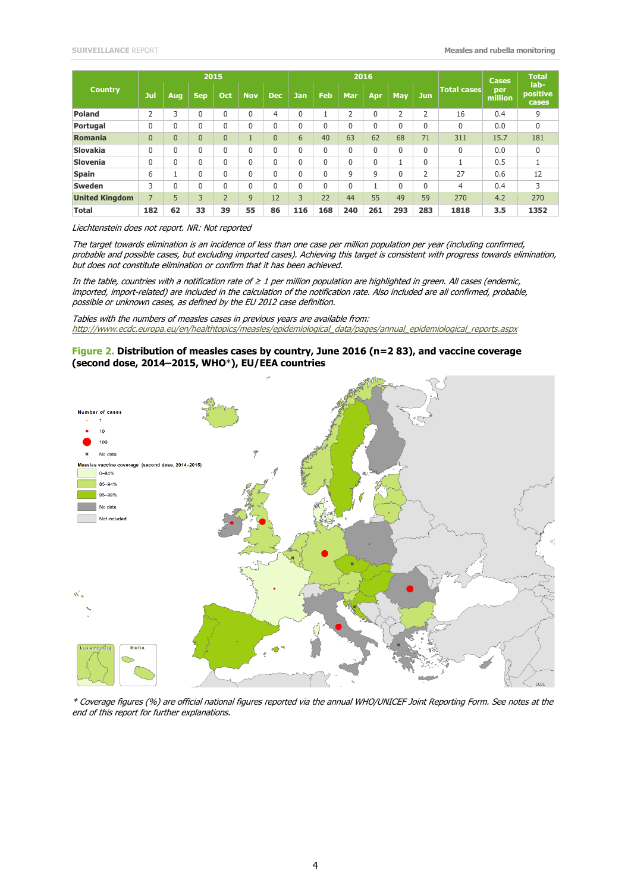| <b>Country</b>        |                |              | 2015           |                |              |                |                |              |                | 2016                |             |                |                    | <b>Cases</b><br>per<br>million | <b>Total</b><br>lab-<br>positive<br>cases |
|-----------------------|----------------|--------------|----------------|----------------|--------------|----------------|----------------|--------------|----------------|---------------------|-------------|----------------|--------------------|--------------------------------|-------------------------------------------|
|                       | Jul            | Aug.         | <b>Sep</b>     | Oct            | <b>Nov</b>   | <b>Dec</b>     | <b>Jan</b>     | <b>Feb</b>   | <b>Mar</b>     | Apr                 | May         | <b>Jun</b>     | <b>Total cases</b> |                                |                                           |
| Poland                | 2              | 3            | 0              | 0              | $\mathbf{0}$ | 4              | 0              | м            | $\overline{2}$ | 0                   | 2           | $\overline{2}$ | 16                 | 0.4                            | 9                                         |
| Portugal              | 0              | 0            | 0              | 0              | $\mathbf{0}$ | 0              | 0              | $\Omega$     | $\mathbf{0}$   | 0                   | $\mathbf 0$ | 0              | $\Omega$           | 0.0                            | 0                                         |
| Romania               | $\overline{0}$ | $\Omega$     | $\overline{0}$ | $\overline{0}$ | н            | $\overline{0}$ | 6              | 40           | 63             | 62                  | 68          | 71             | 311                | 15.7                           | 181                                       |
| <b>Slovakia</b>       | 0              | $\mathbf{0}$ | 0              | 0              | $\mathbf{0}$ | 0              | 0              | $\Omega$     | $\mathbf{0}$   | 0                   | $\mathbf 0$ | 0              | $\Omega$           | 0.0                            | $\Omega$                                  |
| <b>Slovenia</b>       | 0              | $\Omega$     | 0              | 0              | $\mathbf{0}$ | 0              | 0              | $\Omega$     | $\mathbf{0}$   | 0                   | 1           | 0              | ٠                  | 0.5                            | ÷.                                        |
| <b>Spain</b>          | 6              |              | 0              | 0              | $\mathbf{0}$ | 0              | 0              | $\Omega$     | 9              | 9                   | $\Omega$    | 2              | 27                 | 0.6                            | 12                                        |
| <b>Sweden</b>         | 3              | $\Omega$     | 0              | 0              | $\mathbf{0}$ | 0              | 0              | $\mathbf{0}$ | $\mathbf{0}$   | $\overline{a}$<br>T | $\mathbf 0$ | 0              | $\overline{4}$     | 0.4                            | 3                                         |
| <b>United Kingdom</b> | $\overline{7}$ | 5            | 3              | $\overline{2}$ | 9            | 12             | $\overline{3}$ | 22           | 44             | 55                  | 49          | 59             | 270                | 4.2                            | 270                                       |
| <b>Total</b>          | 182            | 62           | 33             | 39             | 55           | 86             | 116            | 168          | 240            | 261                 | 293         | 283            | 1818               | 3.5                            | 1352                                      |

#### Liechtenstein does not report. NR: Not reported

The target towards elimination is an incidence of less than one case per million population per year (including confirmed, probable and possible cases, but excluding imported cases). Achieving this target is consistent with progress towards elimination, but does not constitute elimination or confirm that it has been achieved.

In the table, countries with a notification rate of ≥ 1 per million population are highlighted in green. All cases (endemic, imported, import-related) are included in the calculation of the notification rate. Also included are all confirmed, probable, possible or unknown cases, as defined by the EU 2012 case definition.

Tables with the numbers of measles cases in previous years are available from: [http://www.ecdc.europa.eu/en/healthtopics/measles/epidemiological\\_data/pages/annual\\_epidemiological\\_reports.aspx](http://www.ecdc.europa.eu/en/healthtopics/measles/epidemiological_data/pages/annual_epidemiological_reports.aspx)

#### **Figure 2. Distribution of measles cases by country, June 2016 (n=2 83), and vaccine coverage (second dose, 2014–2015, WHO**\***), EU/EEA countries**



\* Coverage figures (%) are official national figures reported via the annual WHO/UNICEF Joint Reporting Form. See notes at the end of this report for further explanations.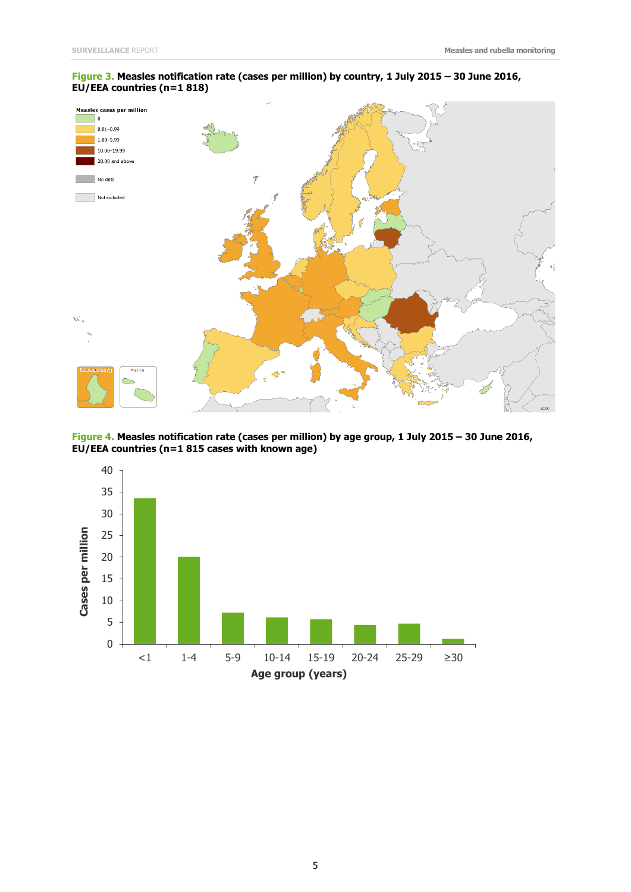#### **Figure 3. Measles notification rate (cases per million) by country, 1 July 2015 – 30 June 2016, EU/EEA countries (n=1 818)**



**Figure 4. Measles notification rate (cases per million) by age group, 1 July 2015 – 30 June 2016, EU/EEA countries (n=1 815 cases with known age)**

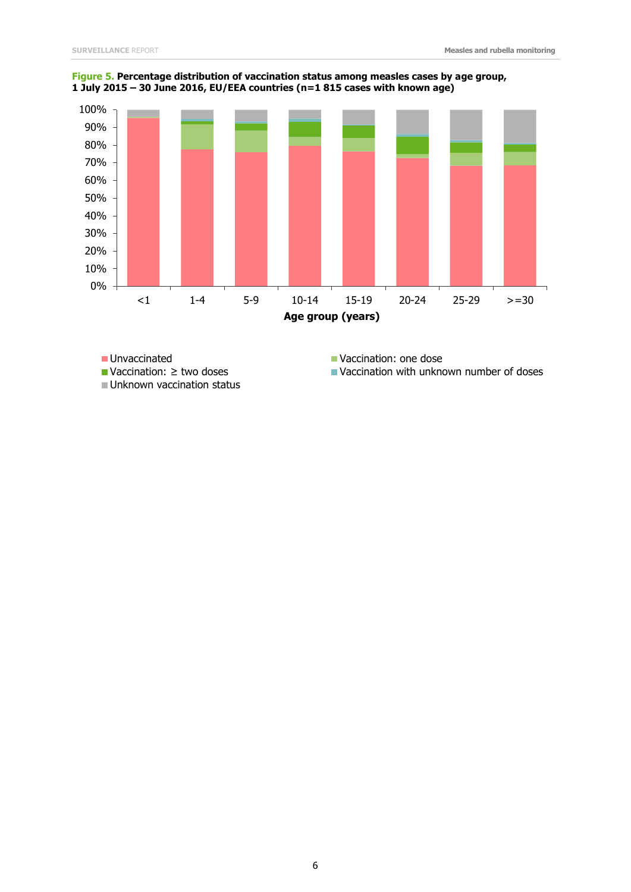

**Figure 5. Percentage distribution of vaccination status among measles cases by age group, 1 July 2015 – 30 June 2016, EU/EEA countries (n=1 815 cases with known age)**

Unknown vaccination status

■ Unvaccinated Vaccination: one dose

Vaccination: ≥ two doses Vaccination with unknown number of doses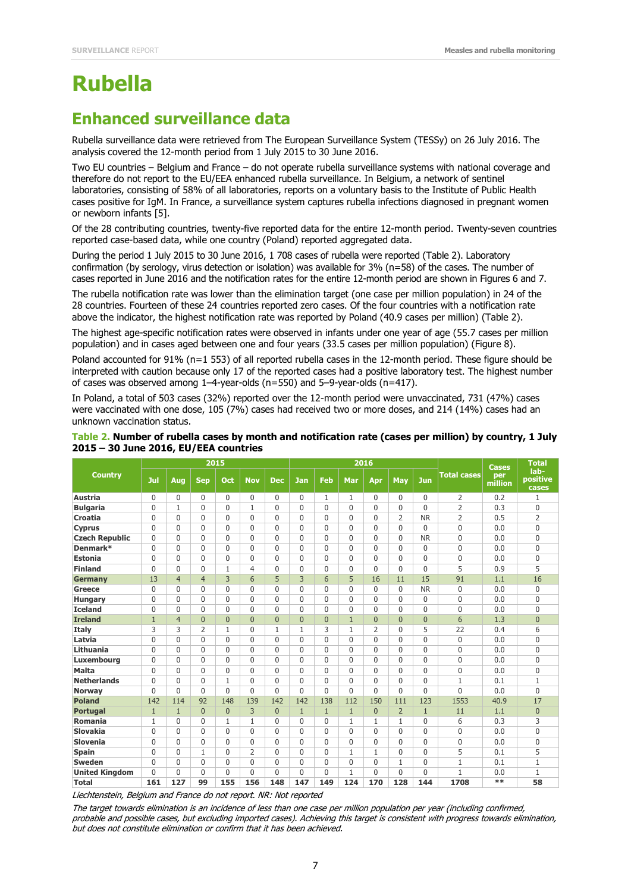# **Rubella**

### **Enhanced surveillance data**

Rubella surveillance data were retrieved from The European Surveillance System (TESSy) on 26 July 2016. The analysis covered the 12-month period from 1 July 2015 to 30 June 2016.

Two EU countries – Belgium and France – do not operate rubella surveillance systems with national coverage and therefore do not report to the EU/EEA enhanced rubella surveillance. In Belgium, a network of sentinel laboratories, consisting of 58% of all laboratories, reports on a voluntary basis to the Institute of Public Health cases positive for IgM. In France, a surveillance system captures rubella infections diagnosed in pregnant women or newborn infants [5].

Of the 28 contributing countries, twenty-five reported data for the entire 12-month period. Twenty-seven countries reported case-based data, while one country (Poland) reported aggregated data.

During the period 1 July 2015 to 30 June 2016, 1 708 cases of rubella were reported (Table 2). Laboratory confirmation (by serology, virus detection or isolation) was available for 3% (n=58) of the cases. The number of cases reported in June 2016 and the notification rates for the entire 12-month period are shown in Figures 6 and 7.

The rubella notification rate was lower than the elimination target (one case per million population) in 24 of the 28 countries. Fourteen of these 24 countries reported zero cases. Of the four countries with a notification rate above the indicator, the highest notification rate was reported by Poland (40.9 cases per million) (Table 2).

The highest age-specific notification rates were observed in infants under one year of age (55.7 cases per million population) and in cases aged between one and four years (33.5 cases per million population) (Figure 8).

Poland accounted for 91% (n=1 553) of all reported rubella cases in the 12-month period. These figure should be interpreted with caution because only 17 of the reported cases had a positive laboratory test. The highest number of cases was observed among 1–4-year-olds (n=550) and 5–9-year-olds (n=417).

In Poland, a total of 503 cases (32%) reported over the 12-month period were unvaccinated, 731 (47%) cases were vaccinated with one dose, 105 (7%) cases had received two or more doses, and 214 (14%) cases had an unknown vaccination status.

| Table 2. Number of rubella cases by month and notification rate (cases per million) by country, 1 July |  |  |
|--------------------------------------------------------------------------------------------------------|--|--|
| 2015 - 30 June 2016, EU/EEA countries                                                                  |  |  |

|                       |              |                | 2015           |              |                |                |              |                | 2016         |                |                | <b>Cases</b>   | <b>Total</b>       |                |                           |
|-----------------------|--------------|----------------|----------------|--------------|----------------|----------------|--------------|----------------|--------------|----------------|----------------|----------------|--------------------|----------------|---------------------------|
| <b>Country</b>        | Jul          | Aug            | <b>Sep</b>     | Oct          | <b>Nov</b>     | <b>Dec</b>     | <b>Jan</b>   | Feb            | Mar          | Apr            | May            | <b>Jun</b>     | <b>Total cases</b> | per<br>million | lab-<br>positive<br>cases |
| <b>Austria</b>        | $\mathbf 0$  | $\mathbf 0$    | 0              | $\Omega$     | 0              | $\Omega$       | $\Omega$     | 1              | 1            | 0              | 0              | 0              | 2                  | 0.2            | 1                         |
| <b>Bulgaria</b>       | $\mathbf{0}$ | $\mathbf{1}$   | 0              | $\mathbf{0}$ | $\mathbf{1}$   | $\mathbf{0}$   | $\Omega$     | $\Omega$       | $\Omega$     | 0              | $\Omega$       | $\mathbf{0}$   | $\overline{2}$     | 0.3            | $\Omega$                  |
| Croatia               | $\mathbf 0$  | $\Omega$       | $\mathbf{0}$   | $\mathbf{0}$ | $\mathbf{0}$   | $\mathbf{0}$   | $\Omega$     | 0              | $\Omega$     | 0              | $\overline{2}$ | <b>NR</b>      | $\overline{2}$     | 0.5            | $\overline{2}$            |
| <b>Cyprus</b>         | $\mathbf 0$  | $\mathbf{0}$   | $\mathbf{0}$   | $\Omega$     | $\mathbf{0}$   | $\mathbf{0}$   | $\Omega$     | 0              | $\Omega$     | 0              | $\mathbf 0$    | $\mathbf 0$    | $\overline{0}$     | 0.0            | $\mathbf{0}$              |
| <b>Czech Republic</b> | $\mathbf{0}$ | $\Omega$       | $\mathbf{0}$   | 0            | $\mathbf{0}$   | $\mathbf{0}$   | $\Omega$     | 0              | $\Omega$     | 0              | $\mathbf 0$    | <b>NR</b>      | $\Omega$           | 0.0            | $\Omega$                  |
| Denmark*              | $\mathbf{0}$ | $\mathbf{0}$   | 0              | $\mathbf{0}$ | $\Omega$       | $\mathbf{0}$   | $\Omega$     | 0              | $\Omega$     | 0              | $\mathbf 0$    | $\mathbf 0$    | $\Omega$           | 0.0            | $\mathbf{0}$              |
| <b>Estonia</b>        | $\mathbf{0}$ | $\Omega$       | $\mathbf{0}$   | $\mathbf{0}$ | $\mathbf{0}$   | $\mathbf{0}$   | $\Omega$     | 0              | $\Omega$     | 0              | $\Omega$       | $\mathbf 0$    | $\mathbf{0}$       | 0.0            | $\mathbf{0}$              |
| <b>Finland</b>        | $\mathbf{0}$ | $\Omega$       | 0              | $\mathbf{1}$ | 4              | $\mathbf{0}$   | $\Omega$     | 0              | $\Omega$     | 0              | $\Omega$       | $\Omega$       | 5                  | 0.9            | 5                         |
| <b>Germany</b>        | 13           | $\overline{4}$ | $\overline{4}$ | 3            | 6              | 5              | 3            | 6              | 5            | 16             | 11             | 15             | 91                 | 1.1            | 16                        |
| Greece                | $\mathbf 0$  | $\Omega$       | $\mathbf{0}$   | $\mathbf{0}$ | $\mathbf{0}$   | $\mathbf{0}$   | $\Omega$     | 0              | $\mathbf{0}$ | 0              | $\Omega$       | <b>NR</b>      | $\Omega$           | 0.0            | $\Omega$                  |
| <b>Hungary</b>        | $\mathbf 0$  | $\Omega$       | $\mathbf{0}$   | $\mathbf{0}$ | $\mathbf{0}$   | $\mathbf{0}$   | $\Omega$     | 0              | $\Omega$     | 0              | $\Omega$       | $\mathbf 0$    | $\mathbf{0}$       | 0.0            | $\mathbf{0}$              |
| <b>Iceland</b>        | $\mathbf 0$  | $\mathbf{0}$   | 0              | 0            | $\Omega$       | $\Omega$       | $\Omega$     | 0              | $\mathbf{0}$ | 0              | 0              | $\mathbf 0$    | $\mathbf{0}$       | 0.0            | $\mathbf{0}$              |
| <b>Ireland</b>        | $\mathbf{1}$ | $\overline{4}$ | $\overline{0}$ | $\Omega$     | $\overline{0}$ | $\overline{0}$ | $\Omega$     | $\overline{0}$ | $\mathbf{1}$ | $\overline{0}$ | $\overline{0}$ | $\overline{0}$ | 6                  | 1.3            | $\Omega$                  |
| <b>Italy</b>          | 3            | 3              | $\overline{2}$ | 1            | $\mathbf{0}$   | $\mathbf{1}$   | $\mathbf{1}$ | 3              | $\mathbf{1}$ | 2              | $\Omega$       | 5              | 22                 | 0.4            | 6                         |
| Latvia                | $\mathbf{0}$ | $\Omega$       | 0              | $\Omega$     | $\Omega$       | $\mathbf{0}$   | $\Omega$     | $\Omega$       | $\Omega$     | 0              | $\Omega$       | $\mathbf{0}$   | $\Omega$           | 0.0            | $\Omega$                  |
| Lithuania             | $\mathbf{0}$ | $\Omega$       | 0              | $\Omega$     | $\mathbf{0}$   | $\Omega$       | $\Omega$     | 0              | $\Omega$     | 0              | $\Omega$       | $\mathbf 0$    | $\mathbf{0}$       | 0.0            | $\Omega$                  |
| <b>Luxembourg</b>     | $\mathbf{0}$ | $\mathbf 0$    | $\mathbf{0}$   | $\Omega$     | $\Omega$       | $\Omega$       | $\Omega$     | $\Omega$       | $\Omega$     | 0              | $\mathbf 0$    | $\mathbf 0$    | $\Omega$           | 0.0            | $\mathbf{0}$              |
| <b>Malta</b>          | $\mathbf{0}$ | $\mathbf{0}$   | 0              | $\Omega$     | $\mathbf{0}$   | $\Omega$       | $\Omega$     | 0              | $\Omega$     | 0              | $\mathbf 0$    | $\mathbf 0$    | $\mathbf{0}$       | 0.0            | $\mathbf{0}$              |
| <b>Netherlands</b>    | $\mathbf 0$  | $\Omega$       | $\mathbf{0}$   | 1            | $\mathbf{0}$   | $\mathbf{0}$   | $\Omega$     | 0              | $\Omega$     | 0              | $\Omega$       | $\mathbf 0$    | $\mathbf{1}$       | 0.1            | $\mathbf{1}$              |
| <b>Norway</b>         | $\mathbf{0}$ | $\mathbf 0$    | 0              | $\Omega$     | $\Omega$       | $\mathbf{0}$   | $\Omega$     | 0              | $\Omega$     | 0              | $\mathbf 0$    | 0              | $\overline{0}$     | 0.0            | $\mathbf{0}$              |
| <b>Poland</b>         | 142          | 114            | 92             | 148          | 139            | 142            | 142          | 138            | 112          | 150            | 111            | 123            | 1553               | 40.9           | 17                        |
| <b>Portugal</b>       | $\mathbf{1}$ | $\mathbf{1}$   | $\overline{0}$ | $\Omega$     | 3              | $\overline{0}$ | $\mathbf{1}$ | $\mathbf{1}$   | $\mathbf{1}$ | $\overline{0}$ | $\overline{2}$ | $\mathbf{1}$   | 11                 | 1.1            | $\overline{0}$            |
| Romania               | 1            | $\mathbf{0}$   | $\mathbf{0}$   | 1            | 1              | $\Omega$       | $\Omega$     | 0              | $\mathbf{1}$ | 1              | $\mathbf{1}$   | $\mathbf 0$    | 6                  | 0.3            | 3                         |
| <b>Slovakia</b>       | $\mathbf 0$  | $\mathbf{0}$   | $\mathbf{0}$   | $\Omega$     | $\mathbf{0}$   | $\mathbf{0}$   | $\Omega$     | 0              | $\Omega$     | 0              | $\mathbf 0$    | $\mathbf 0$    | $\mathbf{0}$       | 0.0            | $\mathbf{0}$              |
| Slovenia              | $\mathbf 0$  | $\Omega$       | $\mathbf{0}$   | $\mathbf{0}$ | $\mathbf{0}$   | $\mathbf{0}$   | $\Omega$     | 0              | $\Omega$     | 0              | $\Omega$       | $\mathbf 0$    | $\Omega$           | 0.0            | $\mathbf{0}$              |
| <b>Spain</b>          | 0            | $\mathbf{0}$   | 1              | 0            | 2              | $\Omega$       | $\Omega$     | 0              | $\mathbf{1}$ | $\mathbf{1}$   | $\mathbf 0$    | $\mathbf 0$    | 5                  | 0.1            | 5                         |
| <b>Sweden</b>         | 0            | $\mathbf{0}$   | 0              | $\Omega$     | $\Omega$       | $\Omega$       | $\Omega$     | 0              | $\mathbf 0$  | 0              | $\mathbf{1}$   | $\mathbf 0$    | $\mathbf{1}$       | 0.1            | $\mathbf{1}$              |
| <b>United Kingdom</b> | $\mathbf{0}$ | $\mathbf{0}$   | 0              | 0            | $\Omega$       | $\mathbf{0}$   | 0            | 0              | 1            | $\mathbf{0}$   | $\Omega$       | 0              | 1                  | 0.0            | $\mathbf{1}$              |
| <b>Total</b>          | 161          | 127            | 99             | 155          | 156            | 148            | 147          | 149            | 124          | 170            | 128            | 144            | 1708               | $**$           | 58                        |

Liechtenstein, Belgium and France do not report. NR: Not reported

The target towards elimination is an incidence of less than one case per million population per year (including confirmed, probable and possible cases, but excluding imported cases). Achieving this target is consistent with progress towards elimination, but does not constitute elimination or confirm that it has been achieved.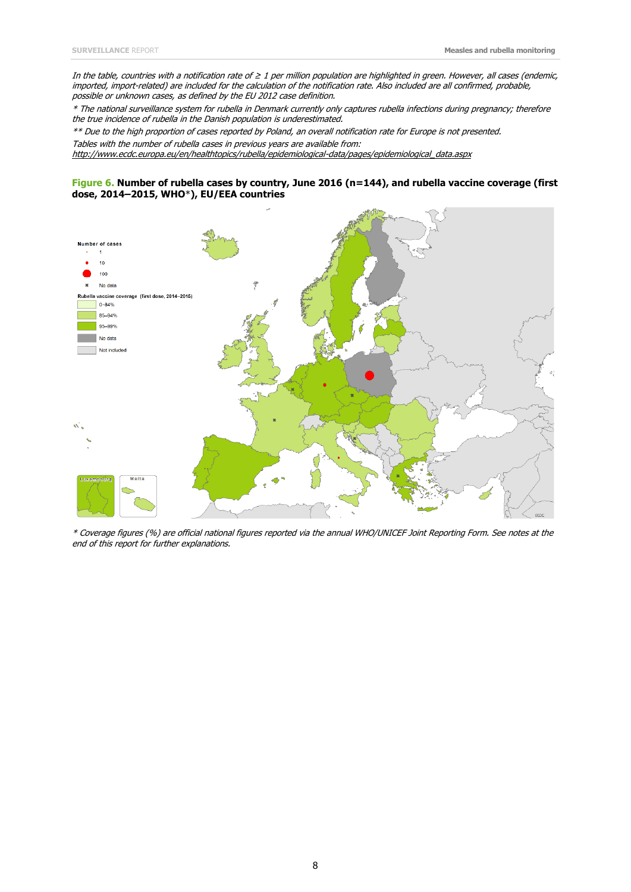In the table, countries with a notification rate of ≥ 1 per million population are highlighted in green. However, all cases (endemic, imported, import-related) are included for the calculation of the notification rate. Also included are all confirmed, probable, possible or unknown cases, as defined by the EU 2012 case definition.

\* The national surveillance system for rubella in Denmark currently only captures rubella infections during pregnancy; therefore the true incidence of rubella in the Danish population is underestimated.

\*\* Due to the high proportion of cases reported by Poland, an overall notification rate for Europe is not presented. Tables with the number of rubella cases in previous years are available from: [http://www.ecdc.europa.eu/en/healthtopics/rubella/epidemiological-data/pages/epidemiological\\_data.aspx](http://www.ecdc.europa.eu/en/healthtopics/rubella/epidemiological-data/pages/epidemiological_data.aspx)

#### **Figure 6. Number of rubella cases by country, June 2016 (n=144), and rubella vaccine coverage (first dose, 2014–2015, WHO**\***), EU/EEA countries**



\* Coverage figures (%) are official national figures reported via the annual WHO/UNICEF Joint Reporting Form. See notes at the end of this report for further explanations.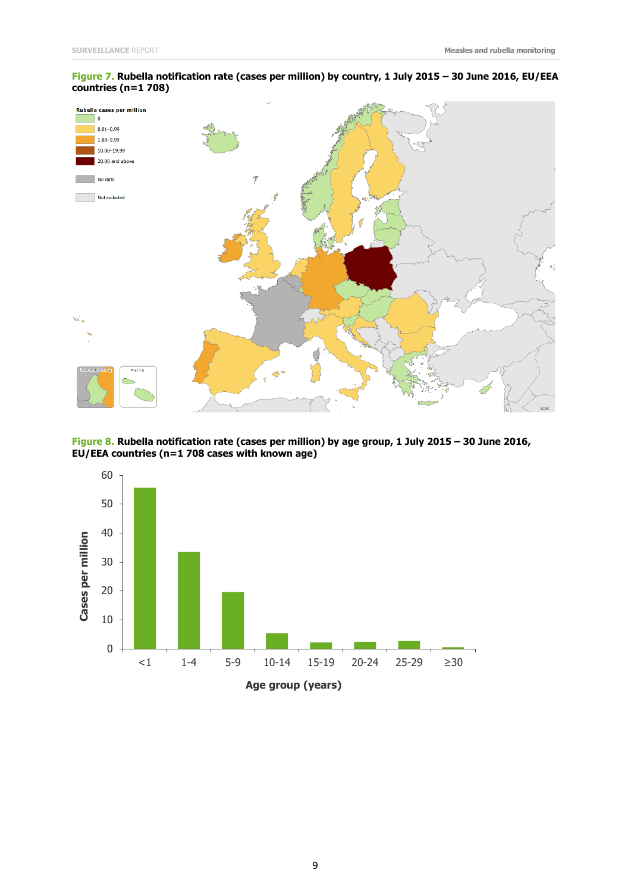#### **Figure 7. Rubella notification rate (cases per million) by country, 1 July 2015 – 30 June 2016, EU/EEA countries (n=1 708)**



**Figure 8. Rubella notification rate (cases per million) by age group, 1 July 2015 – 30 June 2016, EU/EEA countries (n=1 708 cases with known age)**

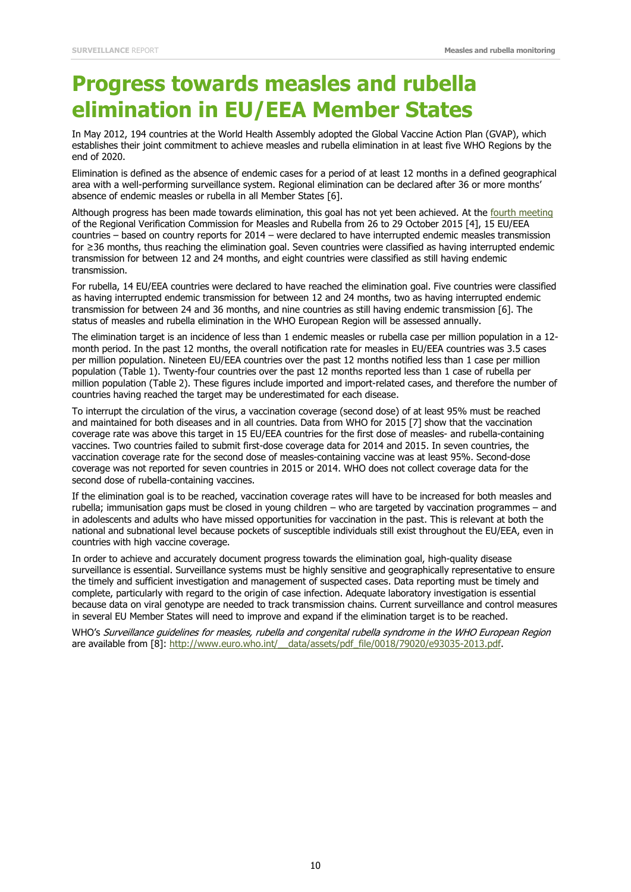# **Progress towards measles and rubella elimination in EU/EEA Member States**

In May 2012, 194 countries at the World Health Assembly adopted the Global Vaccine Action Plan (GVAP), which establishes their joint commitment to achieve measles and rubella elimination in at least five WHO Regions by the end of 2020.

Elimination is defined as the absence of endemic cases for a period of at least 12 months in a defined geographical area with a well-performing surveillance system. Regional elimination can be declared after 36 or more months' absence of endemic measles or rubella in all Member States [6].

Although progress has been made towards elimination, this goal has not yet been achieved. At the [fourth meeting](http://www.euro.who.int/__data/assets/pdf_file/0011/304958/4th-RVC-meeting-report.pdf) of the Regional Verification Commission for Measles and Rubella from 26 to 29 October 2015 [4], 15 EU/EEA countries – based on country reports for 2014 – were declared to have interrupted endemic measles transmission for ≥36 months, thus reaching the elimination goal. Seven countries were classified as having interrupted endemic transmission for between 12 and 24 months, and eight countries were classified as still having endemic transmission.

For rubella, 14 EU/EEA countries were declared to have reached the elimination goal. Five countries were classified as having interrupted endemic transmission for between 12 and 24 months, two as having interrupted endemic transmission for between 24 and 36 months, and nine countries as still having endemic transmission [6]. The status of measles and rubella elimination in the WHO European Region will be assessed annually.

The elimination target is an incidence of less than 1 endemic measles or rubella case per million population in a 12 month period. In the past 12 months, the overall notification rate for measles in EU/EEA countries was 3.5 cases per million population. Nineteen EU/EEA countries over the past 12 months notified less than 1 case per million population (Table 1). Twenty-four countries over the past 12 months reported less than 1 case of rubella per million population (Table 2). These figures include imported and import-related cases, and therefore the number of countries having reached the target may be underestimated for each disease.

To interrupt the circulation of the virus, a vaccination coverage (second dose) of at least 95% must be reached and maintained for both diseases and in all countries. Data from WHO for 2015 [7] show that the vaccination coverage rate was above this target in 15 EU/EEA countries for the first dose of measles- and rubella-containing vaccines. Two countries failed to submit first-dose coverage data for 2014 and 2015. In seven countries, the vaccination coverage rate for the second dose of measles-containing vaccine was at least 95%. Second-dose coverage was not reported for seven countries in 2015 or 2014. WHO does not collect coverage data for the second dose of rubella-containing vaccines.

If the elimination goal is to be reached, vaccination coverage rates will have to be increased for both measles and rubella; immunisation gaps must be closed in young children – who are targeted by vaccination programmes – and in adolescents and adults who have missed opportunities for vaccination in the past. This is relevant at both the national and subnational level because pockets of susceptible individuals still exist throughout the EU/EEA, even in countries with high vaccine coverage.

In order to achieve and accurately document progress towards the elimination goal, high-quality disease surveillance is essential. Surveillance systems must be highly sensitive and geographically representative to ensure the timely and sufficient investigation and management of suspected cases. Data reporting must be timely and complete, particularly with regard to the origin of case infection. Adequate laboratory investigation is essential because data on viral genotype are needed to track transmission chains. Current surveillance and control measures in several EU Member States will need to improve and expand if the elimination target is to be reached.

WHO's Surveillance guidelines for measles, rubella and congenital rubella syndrome in the WHO European Region are available from [8]: http://www.euro.who.int/ data/assets/pdf file/0018/79020/e93035-2013.pdf.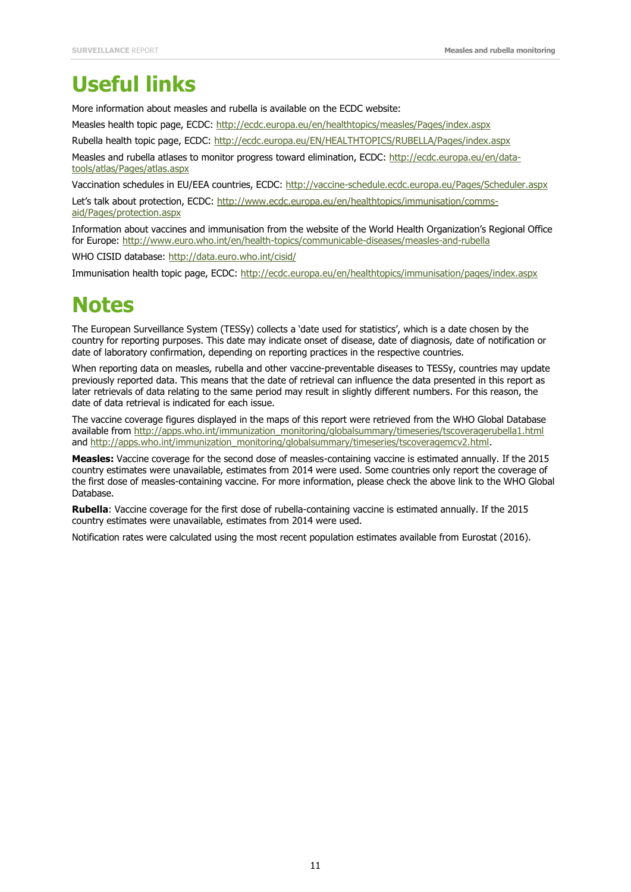# **Useful links**

More information about measles and rubella is available on the ECDC website:

Measles health topic page, ECDC:<http://ecdc.europa.eu/en/healthtopics/measles/Pages/index.aspx>

Rubella health topic page, ECDC:<http://ecdc.europa.eu/EN/HEALTHTOPICS/RUBELLA/Pages/index.aspx>

Measles and rubella atlases to monitor progress toward elimination, ECDC: [http://ecdc.europa.eu/en/data](http://ecdc.europa.eu/en/data-tools/atlas/Pages/atlas.aspx)[tools/atlas/Pages/atlas.aspx](http://ecdc.europa.eu/en/data-tools/atlas/Pages/atlas.aspx)

Vaccination schedules in EU/EEA countries, ECDC:<http://vaccine-schedule.ecdc.europa.eu/Pages/Scheduler.aspx>

Let's talk about protection, ECDC: [http://www.ecdc.europa.eu/en/healthtopics/immunisation/comms](http://www.ecdc.europa.eu/en/healthtopics/immunisation/comms-aid/Pages/protection.aspx)[aid/Pages/protection.aspx](http://www.ecdc.europa.eu/en/healthtopics/immunisation/comms-aid/Pages/protection.aspx)

Information about vaccines and immunisation from the website of the World Health Organization's Regional Office for Europe:<http://www.euro.who.int/en/health-topics/communicable-diseases/measles-and-rubella>

WHO CISID database:<http://data.euro.who.int/cisid/>

Immunisation health topic page, ECDC:<http://ecdc.europa.eu/en/healthtopics/immunisation/pages/index.aspx>

## **Notes**

The European Surveillance System (TESSy) collects a 'date used for statistics', which is a date chosen by the country for reporting purposes. This date may indicate onset of disease, date of diagnosis, date of notification or date of laboratory confirmation, depending on reporting practices in the respective countries.

When reporting data on measles, rubella and other vaccine-preventable diseases to TESSy, countries may update previously reported data. This means that the date of retrieval can influence the data presented in this report as later retrievals of data relating to the same period may result in slightly different numbers. For this reason, the date of data retrieval is indicated for each issue.

The vaccine coverage figures displayed in the maps of this report were retrieved from the WHO Global Database available from http://apps.who.int/immunization\_monitoring/globalsummary/timeseries/tscoveragerubella1.html and [http://apps.who.int/immunization\\_monitoring/globalsummary/timeseries/tscoveragemcv2.html.](http://apps.who.int/immunization_monitoring/globalsummary/timeseries/tscoveragemcv2.html)

**Measles:** Vaccine coverage for the second dose of measles-containing vaccine is estimated annually. If the 2015 country estimates were unavailable, estimates from 2014 were used. Some countries only report the coverage of the first dose of measles-containing vaccine. For more information, please check the above link to the WHO Global Database.

**Rubella**: Vaccine coverage for the first dose of rubella-containing vaccine is estimated annually. If the 2015 country estimates were unavailable, estimates from 2014 were used.

Notification rates were calculated using the most recent population estimates available from Eurostat (2016).